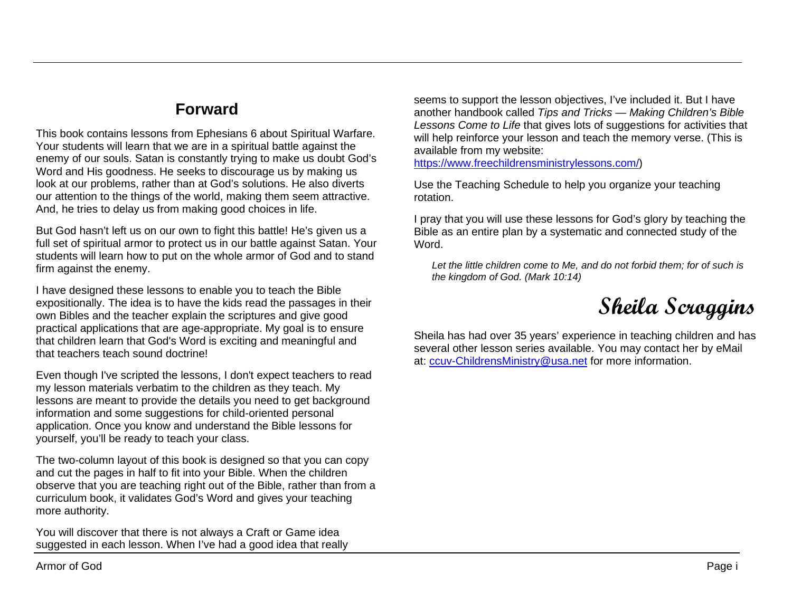## **Forward**

This book contains lessons from Ephesians 6 about Spiritual Warfare. Your students will learn that we are in a spiritual battle against the enemy of our souls. Satan is constantly trying to make us doubt God's Word and His goodness. He seeks to discourage us by making us look at our problems, rather than at God's solutions. He also diverts our attention to the things of the world, making them seem attractive. And, he tries to delay us from making good choices in life.

But God hasn't left us on our own to fight this battle! He's given us a full set of spiritual armor to protect us in our battle against Satan. Your students will learn how to put on the whole armor of God and to stand firm against the enemy.

I have designed these lessons to enable you to teach the Bible expositionally. The idea is to have the kids read the passages in their own Bibles and the teacher explain the scriptures and give good practical applications that are age-appropriate. My goal is to ensure that children learn that God's Word is exciting and meaningful and that teachers teach sound doctrine!

Even though I've scripted the lessons, I don't expect teachers to read my lesson materials verbatim to the children as they teach. My lessons are meant to provide the details you need to get background information and some suggestions for child-oriented personal application. Once you know and understand the Bible lessons for yourself, you'll be ready to teach your class.

The two-column layout of this book is designed so that you can copy and cut the pages in half to fit into your Bible. When the children observe that you are teaching right out of the Bible, rather than from a curriculum book, it validates God's Word and gives your teaching more authority.

You will discover that there is not always a Craft or Game idea suggested in each lesson. When I've had a good idea that really

seems to support the lesson objectives, I've included it. But I have another handbook called *Tips and Tricks — Making Children's Bible Lessons Come to Life* that gives lots of suggestions for activities that will help reinforce your lesson and teach the memory verse. (This is available from my website:

[https://www.freechildrensministrylessons.com/\)](https://www.freechildrensministrylessons.com/)

Use the Teaching Schedule to help you organize your teaching rotation.

I pray that you will use these lessons for God's glory by teaching the Bible as an entire plan by a systematic and connected study of the Word.

*Let the little children come to Me, and do not forbid them; for of such is the kingdom of God. (Mark 10:14)*



Sheila has had over 35 years' experience in teaching children and has several other lesson series available. You may contact her by eMail at: [ccuv-ChildrensMinistry@usa.net](mailto:ccuv-ChildrensMinistry@usa.net) for more information.